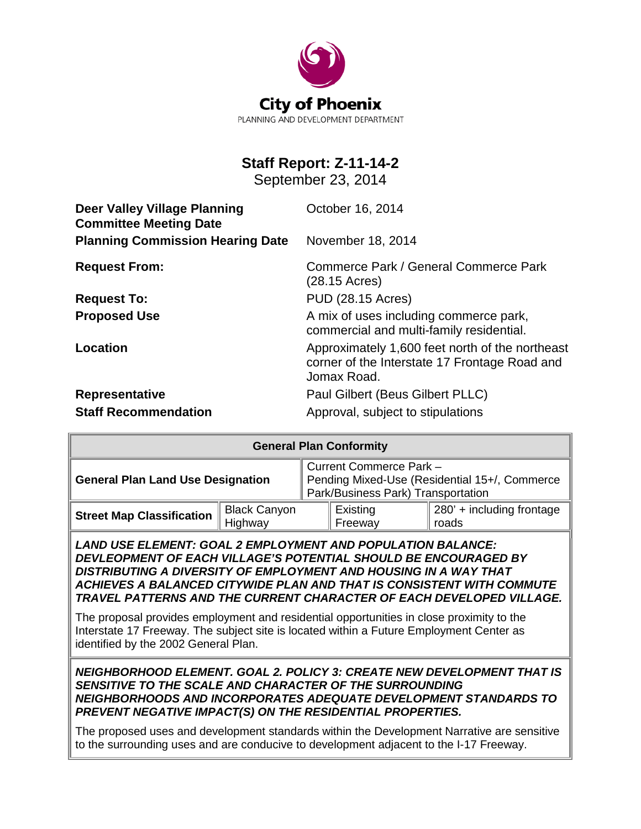

# **Staff Report: Z-11-14-2**

September 23, 2014

| <b>Deer Valley Village Planning</b><br><b>Committee Meeting Date</b> | October 16, 2014                                                                                                |  |  |
|----------------------------------------------------------------------|-----------------------------------------------------------------------------------------------------------------|--|--|
| <b>Planning Commission Hearing Date</b>                              | November 18, 2014                                                                                               |  |  |
| <b>Request From:</b>                                                 | Commerce Park / General Commerce Park<br>$(28.15 \text{ A} \cdot \text{A})$                                     |  |  |
| <b>Request To:</b>                                                   | <b>PUD (28.15 Acres)</b>                                                                                        |  |  |
| <b>Proposed Use</b>                                                  | A mix of uses including commerce park,<br>commercial and multi-family residential.                              |  |  |
| Location                                                             | Approximately 1,600 feet north of the northeast<br>corner of the Interstate 17 Frontage Road and<br>Jomax Road. |  |  |
| <b>Representative</b>                                                | Paul Gilbert (Beus Gilbert PLLC)                                                                                |  |  |
| <b>Staff Recommendation</b>                                          | Approval, subject to stipulations                                                                               |  |  |

| <b>General Plan Conformity</b>           |                                |                                                                                                               |                     |                                    |  |
|------------------------------------------|--------------------------------|---------------------------------------------------------------------------------------------------------------|---------------------|------------------------------------|--|
| <b>General Plan Land Use Designation</b> |                                | Current Commerce Park-<br>Pending Mixed-Use (Residential 15+/, Commerce<br>Park/Business Park) Transportation |                     |                                    |  |
| <b>Street Map Classification</b>         | <b>Black Canyon</b><br>Highway |                                                                                                               | Existing<br>Freeway | 280' + including frontage<br>roads |  |

*LAND USE ELEMENT: GOAL 2 EMPLOYMENT AND POPULATION BALANCE: DEVLEOPMENT OF EACH VILLAGE'S POTENTIAL SHOULD BE ENCOURAGED BY DISTRIBUTING A DIVERSITY OF EMPLOYMENT AND HOUSING IN A WAY THAT ACHIEVES A BALANCED CITYWIDE PLAN AND THAT IS CONSISTENT WITH COMMUTE TRAVEL PATTERNS AND THE CURRENT CHARACTER OF EACH DEVELOPED VILLAGE.*

The proposal provides employment and residential opportunities in close proximity to the Interstate 17 Freeway. The subject site is located within a Future Employment Center as identified by the 2002 General Plan.

*NEIGHBORHOOD ELEMENT. GOAL 2. POLICY 3: CREATE NEW DEVELOPMENT THAT IS SENSITIVE TO THE SCALE AND CHARACTER OF THE SURROUNDING NEIGHBORHOODS AND INCORPORATES ADEQUATE DEVELOPMENT STANDARDS TO PREVENT NEGATIVE IMPACT(S) ON THE RESIDENTIAL PROPERTIES.*

The proposed uses and development standards within the Development Narrative are sensitive to the surrounding uses and are conducive to development adjacent to the I-17 Freeway.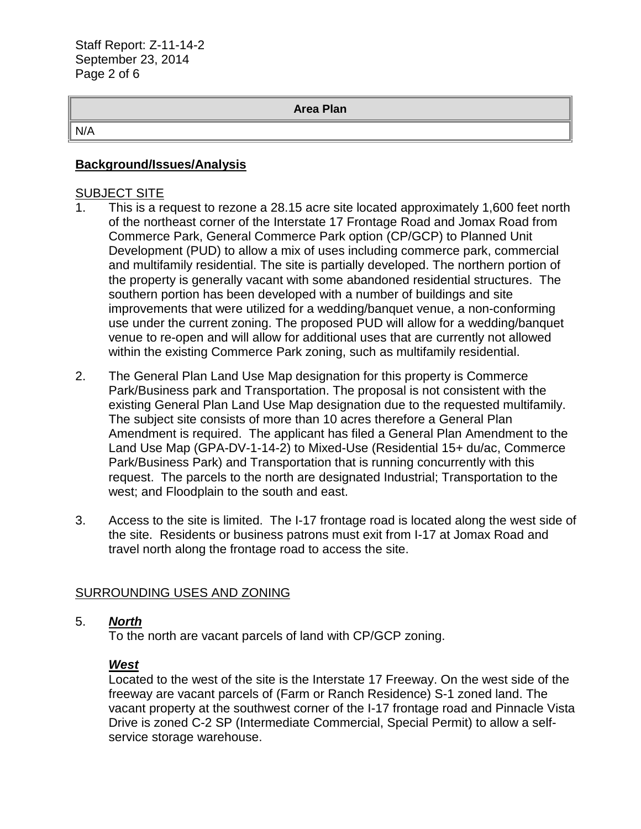Staff Report: Z-11-14-2 September 23, 2014 Page 2 of 6

**Area Plan**

N/A

#### **Background/Issues/Analysis**

#### **SUBJECT SITE**

- 1. This is a request to rezone a 28.15 acre site located approximately 1,600 feet north of the northeast corner of the Interstate 17 Frontage Road and Jomax Road from Commerce Park, General Commerce Park option (CP/GCP) to Planned Unit Development (PUD) to allow a mix of uses including commerce park, commercial and multifamily residential. The site is partially developed. The northern portion of the property is generally vacant with some abandoned residential structures. The southern portion has been developed with a number of buildings and site improvements that were utilized for a wedding/banquet venue, a non-conforming use under the current zoning. The proposed PUD will allow for a wedding/banquet venue to re-open and will allow for additional uses that are currently not allowed within the existing Commerce Park zoning, such as multifamily residential.
- 2. The General Plan Land Use Map designation for this property is Commerce Park/Business park and Transportation. The proposal is not consistent with the existing General Plan Land Use Map designation due to the requested multifamily. The subject site consists of more than 10 acres therefore a General Plan Amendment is required. The applicant has filed a General Plan Amendment to the Land Use Map (GPA-DV-1-14-2) to Mixed-Use (Residential 15+ du/ac, Commerce Park/Business Park) and Transportation that is running concurrently with this request. The parcels to the north are designated Industrial; Transportation to the west; and Floodplain to the south and east.
- 3. Access to the site is limited. The I-17 frontage road is located along the west side of the site. Residents or business patrons must exit from I-17 at Jomax Road and travel north along the frontage road to access the site.

# SURROUNDING USES AND ZONING

# 5. *North*

To the north are vacant parcels of land with CP/GCP zoning.

# *West*

Located to the west of the site is the Interstate 17 Freeway. On the west side of the freeway are vacant parcels of (Farm or Ranch Residence) S-1 zoned land. The vacant property at the southwest corner of the I-17 frontage road and Pinnacle Vista Drive is zoned C-2 SP (Intermediate Commercial, Special Permit) to allow a selfservice storage warehouse.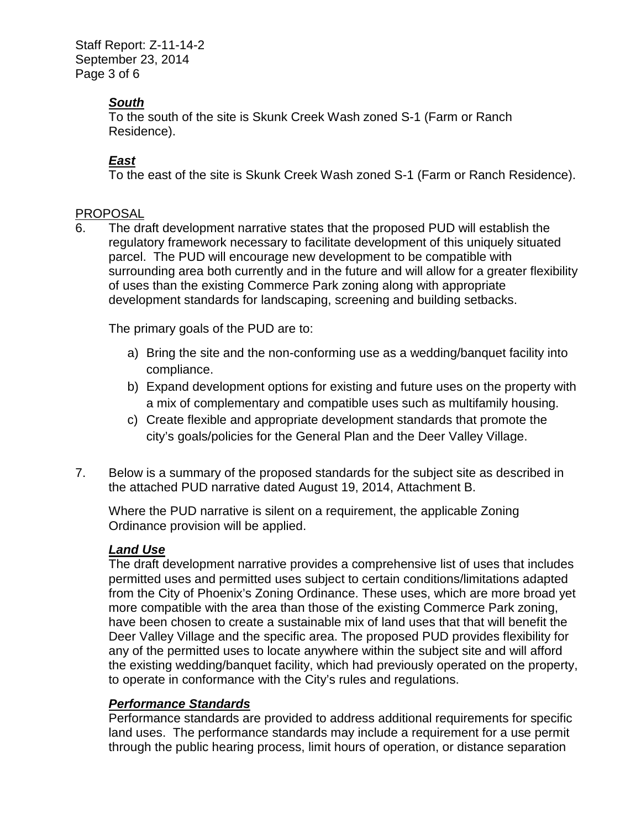Staff Report: Z-11-14-2 September 23, 2014 Page 3 of 6

# *South*

To the south of the site is Skunk Creek Wash zoned S-1 (Farm or Ranch Residence).

# *East*

To the east of the site is Skunk Creek Wash zoned S-1 (Farm or Ranch Residence).

# PROPOSAL

6. The draft development narrative states that the proposed PUD will establish the regulatory framework necessary to facilitate development of this uniquely situated parcel. The PUD will encourage new development to be compatible with surrounding area both currently and in the future and will allow for a greater flexibility of uses than the existing Commerce Park zoning along with appropriate development standards for landscaping, screening and building setbacks.

The primary goals of the PUD are to:

- a) Bring the site and the non-conforming use as a wedding/banquet facility into compliance.
- b) Expand development options for existing and future uses on the property with a mix of complementary and compatible uses such as multifamily housing.
- c) Create flexible and appropriate development standards that promote the city's goals/policies for the General Plan and the Deer Valley Village.
- 7. Below is a summary of the proposed standards for the subject site as described in the attached PUD narrative dated August 19, 2014, Attachment B.

Where the PUD narrative is silent on a requirement, the applicable Zoning Ordinance provision will be applied.

# *Land Use*

The draft development narrative provides a comprehensive list of uses that includes permitted uses and permitted uses subject to certain conditions/limitations adapted from the City of Phoenix's Zoning Ordinance. These uses, which are more broad yet more compatible with the area than those of the existing Commerce Park zoning, have been chosen to create a sustainable mix of land uses that that will benefit the Deer Valley Village and the specific area. The proposed PUD provides flexibility for any of the permitted uses to locate anywhere within the subject site and will afford the existing wedding/banquet facility, which had previously operated on the property, to operate in conformance with the City's rules and regulations.

# *Performance Standards*

Performance standards are provided to address additional requirements for specific land uses. The performance standards may include a requirement for a use permit through the public hearing process, limit hours of operation, or distance separation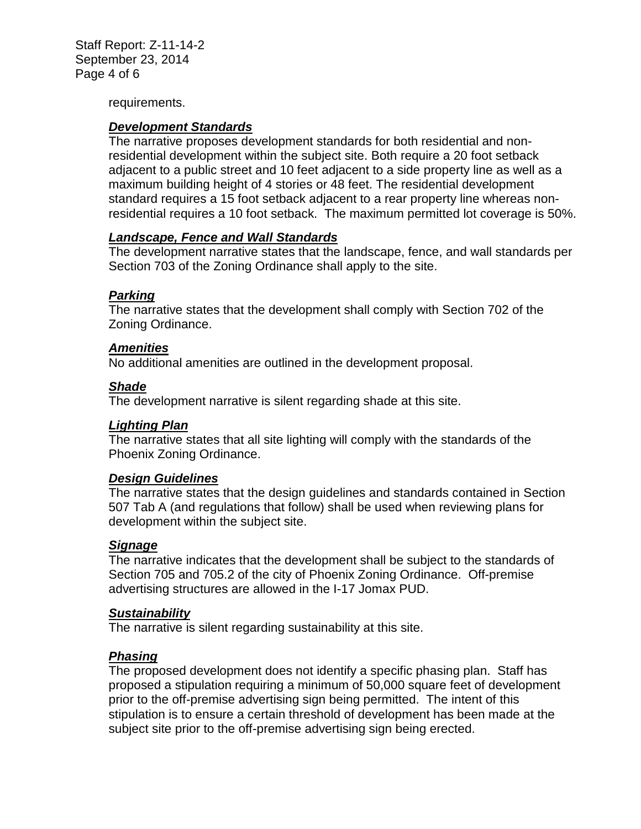Staff Report: Z-11-14-2 September 23, 2014 Page 4 of 6

requirements.

#### *Development Standards*

The narrative proposes development standards for both residential and nonresidential development within the subject site. Both require a 20 foot setback adjacent to a public street and 10 feet adjacent to a side property line as well as a maximum building height of 4 stories or 48 feet. The residential development standard requires a 15 foot setback adjacent to a rear property line whereas nonresidential requires a 10 foot setback. The maximum permitted lot coverage is 50%.

#### *Landscape, Fence and Wall Standards*

The development narrative states that the landscape, fence, and wall standards per Section 703 of the Zoning Ordinance shall apply to the site.

# *Parking*

The narrative states that the development shall comply with Section 702 of the Zoning Ordinance.

#### *Amenities*

No additional amenities are outlined in the development proposal.

#### *Shade*

The development narrative is silent regarding shade at this site.

#### *Lighting Plan*

The narrative states that all site lighting will comply with the standards of the Phoenix Zoning Ordinance.

#### *Design Guidelines*

The narrative states that the design guidelines and standards contained in Section 507 Tab A (and regulations that follow) shall be used when reviewing plans for development within the subject site.

#### *Signage*

The narrative indicates that the development shall be subject to the standards of Section 705 and 705.2 of the city of Phoenix Zoning Ordinance. Off-premise advertising structures are allowed in the I-17 Jomax PUD.

## *Sustainability*

The narrative is silent regarding sustainability at this site.

# *Phasing*

The proposed development does not identify a specific phasing plan. Staff has proposed a stipulation requiring a minimum of 50,000 square feet of development prior to the off-premise advertising sign being permitted. The intent of this stipulation is to ensure a certain threshold of development has been made at the subject site prior to the off-premise advertising sign being erected.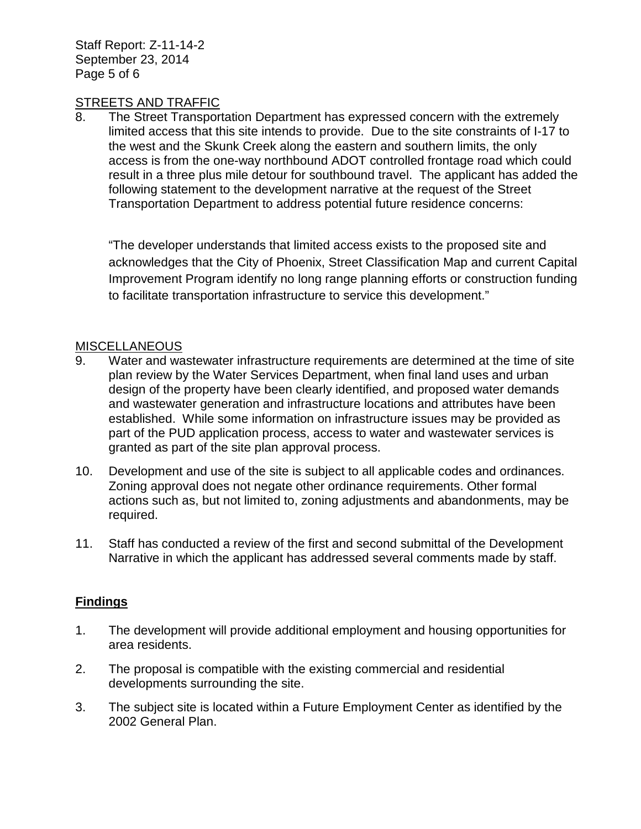Staff Report: Z-11-14-2 September 23, 2014 Page 5 of 6

## STREETS AND TRAFFIC

8. The Street Transportation Department has expressed concern with the extremely limited access that this site intends to provide. Due to the site constraints of I-17 to the west and the Skunk Creek along the eastern and southern limits, the only access is from the one-way northbound ADOT controlled frontage road which could result in a three plus mile detour for southbound travel. The applicant has added the following statement to the development narrative at the request of the Street Transportation Department to address potential future residence concerns:

"The developer understands that limited access exists to the proposed site and acknowledges that the City of Phoenix, Street Classification Map and current Capital Improvement Program identify no long range planning efforts or construction funding to facilitate transportation infrastructure to service this development."

#### **MISCELLANEOUS**

- 9. Water and wastewater infrastructure requirements are determined at the time of site plan review by the Water Services Department, when final land uses and urban design of the property have been clearly identified, and proposed water demands and wastewater generation and infrastructure locations and attributes have been established. While some information on infrastructure issues may be provided as part of the PUD application process, access to water and wastewater services is granted as part of the site plan approval process.
- 10. Development and use of the site is subject to all applicable codes and ordinances. Zoning approval does not negate other ordinance requirements. Other formal actions such as, but not limited to, zoning adjustments and abandonments, may be required.
- 11. Staff has conducted a review of the first and second submittal of the Development Narrative in which the applicant has addressed several comments made by staff.

# **Findings**

- 1. The development will provide additional employment and housing opportunities for area residents.
- 2. The proposal is compatible with the existing commercial and residential developments surrounding the site.
- 3. The subject site is located within a Future Employment Center as identified by the 2002 General Plan.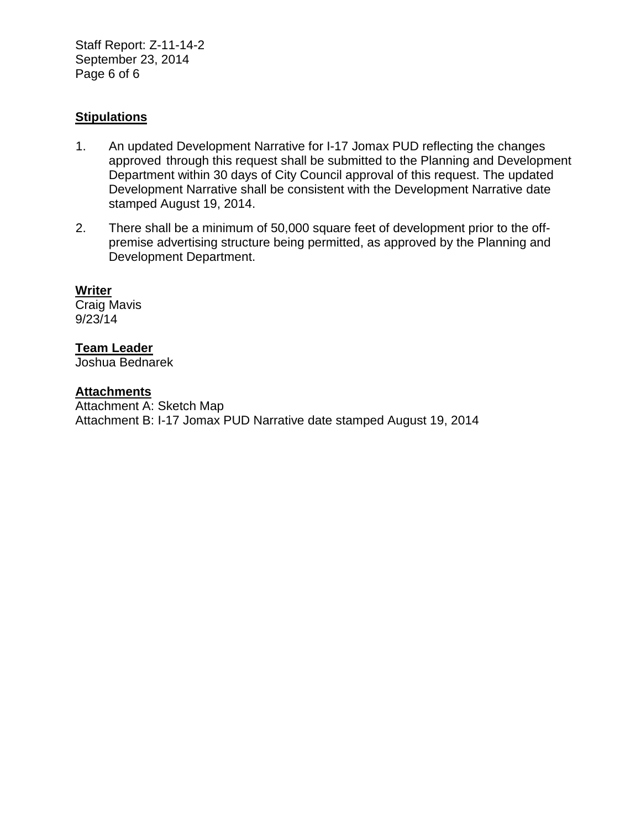Staff Report: Z-11-14-2 September 23, 2014 Page 6 of 6

# **Stipulations**

- 1. An updated Development Narrative for I-17 Jomax PUD reflecting the changes approved through this request shall be submitted to the Planning and Development Department within 30 days of City Council approval of this request. The updated Development Narrative shall be consistent with the Development Narrative date stamped August 19, 2014.
- 2. There shall be a minimum of 50,000 square feet of development prior to the offpremise advertising structure being permitted, as approved by the Planning and Development Department.

# **Writer**

Craig Mavis 9/23/14

# **Team Leader**

Joshua Bednarek

# **Attachments**

Attachment A: Sketch Map Attachment B: I-17 Jomax PUD Narrative date stamped August 19, 2014